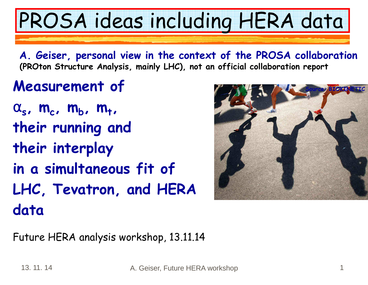#### 13. 11. 14

## PROSA ideas including HERA data

**A. Geiser, personal view in the context of the PROSA collaboration(PROton Structure Analysis, mainly LHC), not an official collaboration report** 

### **Measurement of**

 $\alpha_s$ , **m**<sub>c</sub>, **m**<sub>b</sub>, **m**<sub>t</sub>, **their running and their interplay in a simultaneous fit of LHC, Tevatron, and HERA data**

Future HERA analysis workshop, 13.11.14

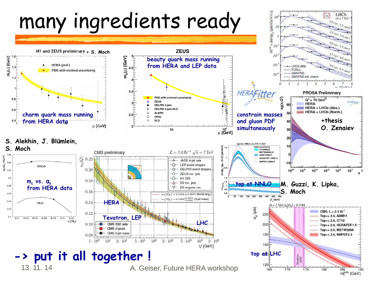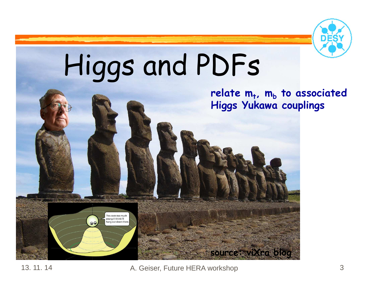

# Higgs and PDFs

This costs too much<br>energy! I think I'll hang out down thei

#### **relate m<sup>t</sup>, m<sup>b</sup> to associated Higgs Yukawa couplings**

**source: viXra blog** 

A. Geiser, Future HERA workshop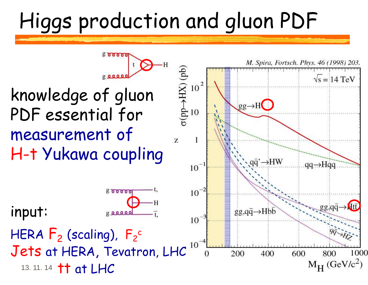### Higgs production and gluon PDF

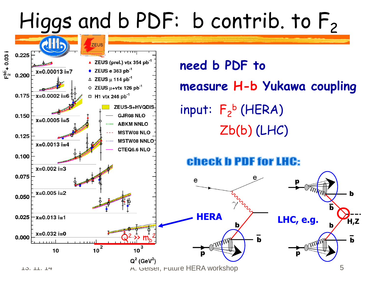### Higgs and b PDF: b contrib. to  $F_2$



13. 11. 14

**need b PDF to measure H-b Yukawa coupling** input:  $F_2^b$  (HERA) Zb(b) (LHC)

#### **Check b PDF for LHC:**